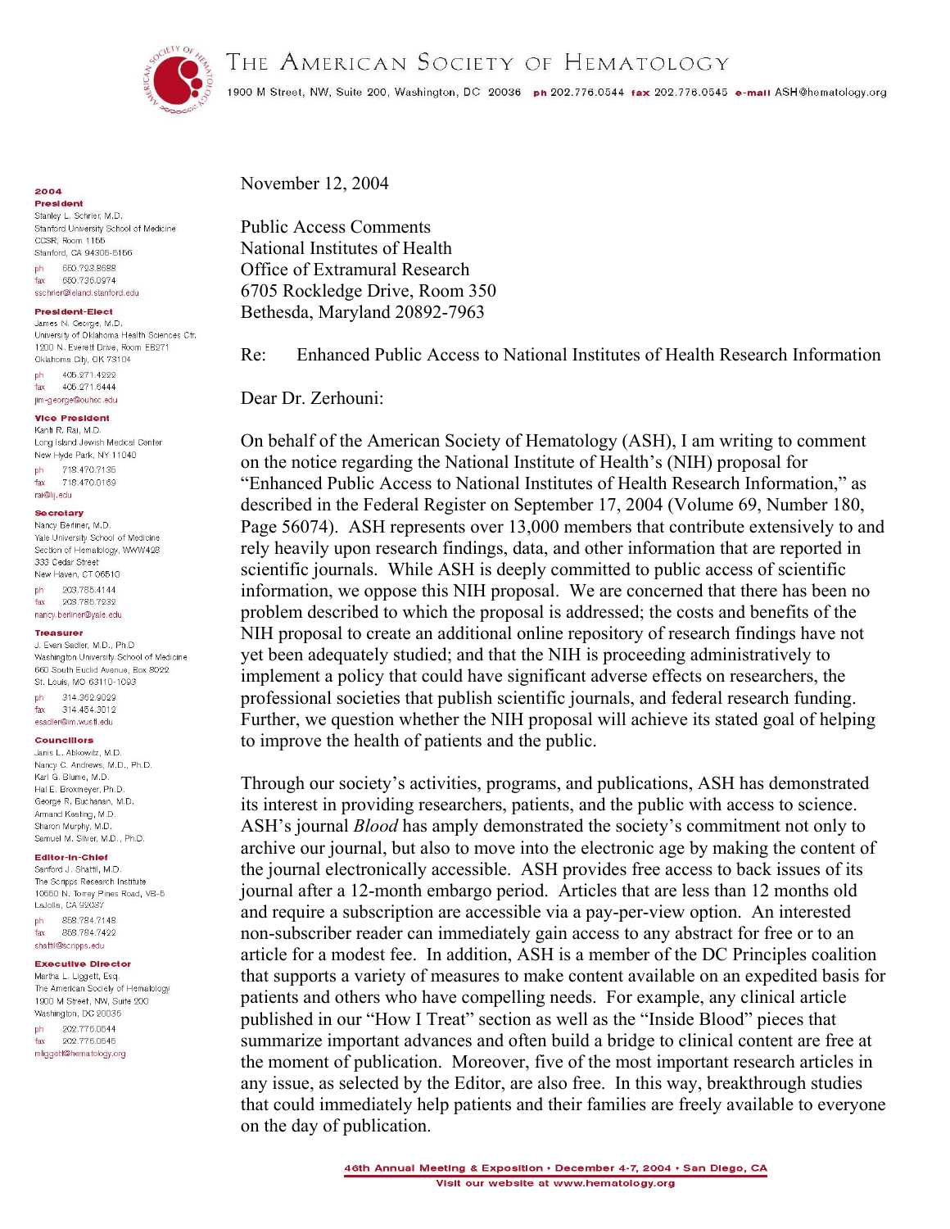THE AMERICAN SOCIETY OF HEMATOLOGY



1900 M Street, NW, Suite 200, Washington, DC 20036 ph 202.776.0544 fax 202.776.0545 e-mail ASH@hematology.org

2004

Prosident Stanley L. Schrier, M.D. Stanford University School of Medicine CCSR, Room 1155 Stanford, CA 94305-5156 ph 650.723.8688 fax 650,736,0974 sschrier@leland.stanford.edu

#### **President-Elect**

James N. George, M.D. University of Oklahoma Health Sciences Ctr. 1900 N. Everett Drive, Room ER971 Oklahoma City, OK 73104 405.271.4222 ph. 405.271.6444 fax jim-george@ouhsc.edu

## **Vice President**

Kanti R. Rai, M.D. Long Island Jewish Medical Center New Hyde Park, NY 11040 718 470 7135  $nh$ fax 718.470.0169 rai@lij.edu

### **Secretary**

Nancy Berliner, M.D. Yale University School of Medicine Section of Hematology, WWW428 333 Cedar Street New Haven, CT 06510

203.785.4144 ph 203.785.7232 fax nancy.berliner@yale.edu

#### **Treasurer**

J. Evan Sadler, M.D., Ph.D. Washington University School of Medicine 660 South Euclid Avenue, Box 8022 St. Louis, MO 63110-1093  $bh$ 314,362,9029

314.454.3012 fax esadler@im.wustl.edu

# **Councillors**

Janis L. Abkowitz, M.D. Nancy C. Andrews, M.D., Ph.D. Karl G. Blume, M.D. Hal E. Broxmeyer, Ph.D. George R. Buchanan, M.D. Armand Keating, M.D. Sharon Murphy, M.D. Samuel M. Silver, M.D., Ph.D.

#### Editor-In-Chief

Sanford J. Shattil, M.D. The Scripps Research Institute 10550 N. Torrey Pines Road, VB-5 LaJolla, CA 92037

858 784 7148 nh. fax 858.784.7499 shattil@scripps.edu

## **Executive Director**

Martha L. Liggett, Esq. The American Society of Hematology 1900 M Street, NW, Suite 200 Washington, DC 20036

ph 202.776.0544 fax 202.776.0545 mliggett@hematology.org November 12, 2004

**Public Access Comments** National Institutes of Health Office of Extramural Research 6705 Rockledge Drive, Room 350 Bethesda, Maryland 20892-7963

 $Re<sup>2</sup>$ Enhanced Public Access to National Institutes of Health Research Information

Dear Dr. Zerhouni<sup>-</sup>

On behalf of the American Society of Hematology (ASH), I am writing to comment on the notice regarding the National Institute of Health's (NIH) proposal for "Enhanced Public Access to National Institutes of Health Research Information," as described in the Federal Register on September 17, 2004 (Volume 69, Number 180, Page 56074). ASH represents over 13,000 members that contribute extensively to and rely heavily upon research findings, data, and other information that are reported in scientific journals. While ASH is deeply committed to public access of scientific information, we oppose this NIH proposal. We are concerned that there has been no problem described to which the proposal is addressed; the costs and benefits of the NIH proposal to create an additional online repository of research findings have not yet been adequately studied; and that the NIH is proceeding administratively to implement a policy that could have significant adverse effects on researchers, the professional societies that publish scientific journals, and federal research funding. Further, we question whether the NIH proposal will achieve its stated goal of helping to improve the health of patients and the public.

Through our society's activities, programs, and publications, ASH has demonstrated its interest in providing researchers, patients, and the public with access to science. ASH's journal *Blood* has amply demonstrated the society's commitment not only to archive our journal, but also to move into the electronic age by making the content of the journal electronically accessible. ASH provides free access to back issues of its journal after a 12-month embargo period. Articles that are less than 12 months old and require a subscription are accessible via a pay-per-view option. An interested non-subscriber reader can immediately gain access to any abstract for free or to an article for a modest fee. In addition, ASH is a member of the DC Principles coalition that supports a variety of measures to make content available on an expedited basis for patients and others who have compelling needs. For example, any clinical article published in our "How I Treat" section as well as the "Inside Blood" pieces that summarize important advances and often build a bridge to clinical content are free at the moment of publication. Moreover, five of the most important research articles in any issue, as selected by the Editor, are also free. In this way, breakthrough studies that could immediately help patients and their families are freely available to everyone on the day of publication.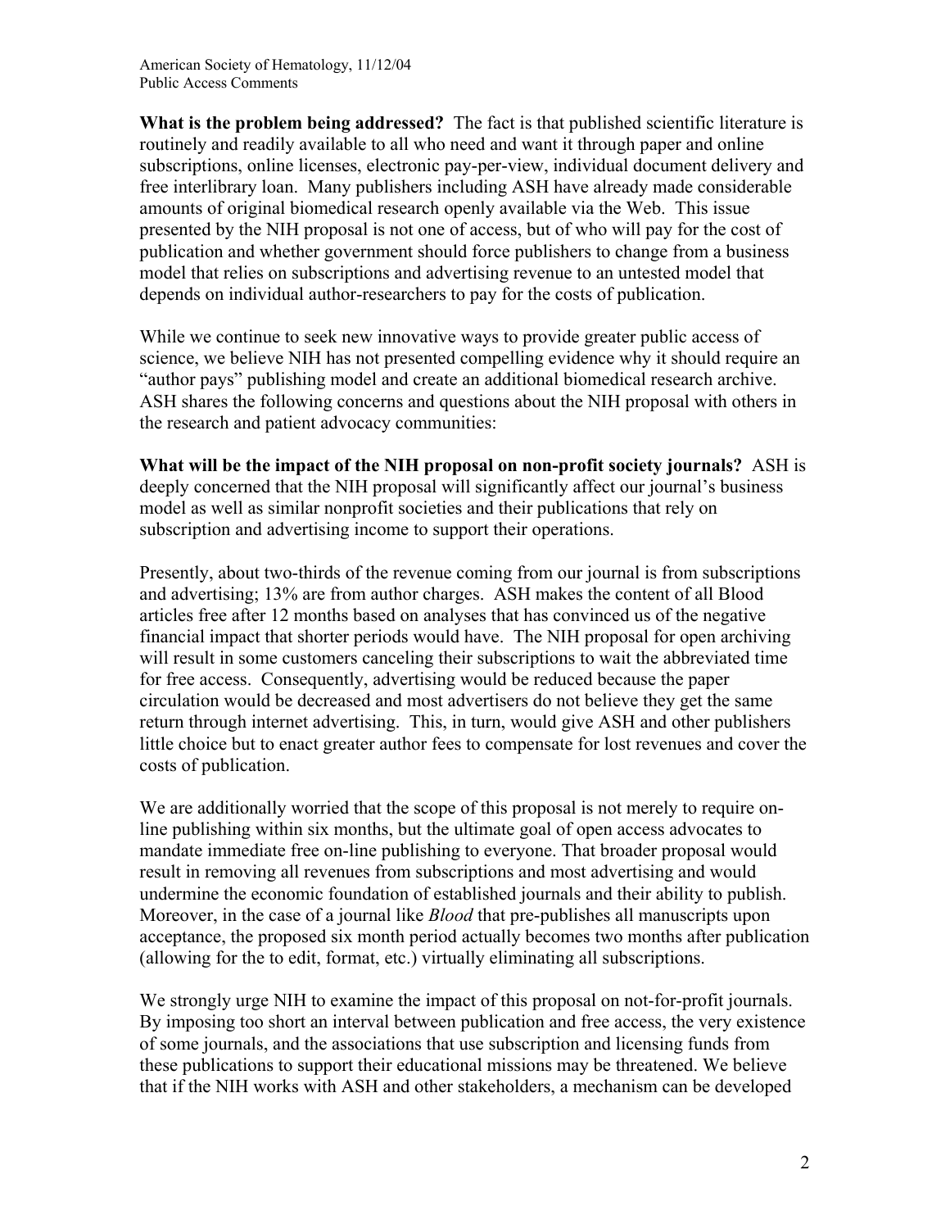American Society of Hematology, 11/12/04 Public Access Comments

**What is the problem being addressed?** The fact is that published scientific literature is routinely and readily available to all who need and want it through paper and online subscriptions, online licenses, electronic pay-per-view, individual document delivery and free interlibrary loan. Many publishers including ASH have already made considerable amounts of original biomedical research openly available via the Web. This issue presented by the NIH proposal is not one of access, but of who will pay for the cost of publication and whether government should force publishers to change from a business model that relies on subscriptions and advertising revenue to an untested model that depends on individual author-researchers to pay for the costs of publication.

While we continue to seek new innovative ways to provide greater public access of science, we believe NIH has not presented compelling evidence why it should require an "author pays" publishing model and create an additional biomedical research archive. ASH shares the following concerns and questions about the NIH proposal with others in the research and patient advocacy communities:

**What will be the impact of the NIH proposal on non-profit society journals?** ASH is deeply concerned that the NIH proposal will significantly affect our journal's business model as well as similar nonprofit societies and their publications that rely on subscription and advertising income to support their operations.

Presently, about two-thirds of the revenue coming from our journal is from subscriptions and advertising; 13% are from author charges. ASH makes the content of all Blood articles free after 12 months based on analyses that has convinced us of the negative financial impact that shorter periods would have. The NIH proposal for open archiving will result in some customers canceling their subscriptions to wait the abbreviated time for free access. Consequently, advertising would be reduced because the paper circulation would be decreased and most advertisers do not believe they get the same return through internet advertising. This, in turn, would give ASH and other publishers little choice but to enact greater author fees to compensate for lost revenues and cover the costs of publication.

We are additionally worried that the scope of this proposal is not merely to require online publishing within six months, but the ultimate goal of open access advocates to mandate immediate free on-line publishing to everyone. That broader proposal would result in removing all revenues from subscriptions and most advertising and would undermine the economic foundation of established journals and their ability to publish. Moreover, in the case of a journal like *Blood* that pre-publishes all manuscripts upon acceptance, the proposed six month period actually becomes two months after publication (allowing for the to edit, format, etc.) virtually eliminating all subscriptions.

We strongly urge NIH to examine the impact of this proposal on not-for-profit journals. By imposing too short an interval between publication and free access, the very existence of some journals, and the associations that use subscription and licensing funds from these publications to support their educational missions may be threatened. We believe that if the NIH works with ASH and other stakeholders, a mechanism can be developed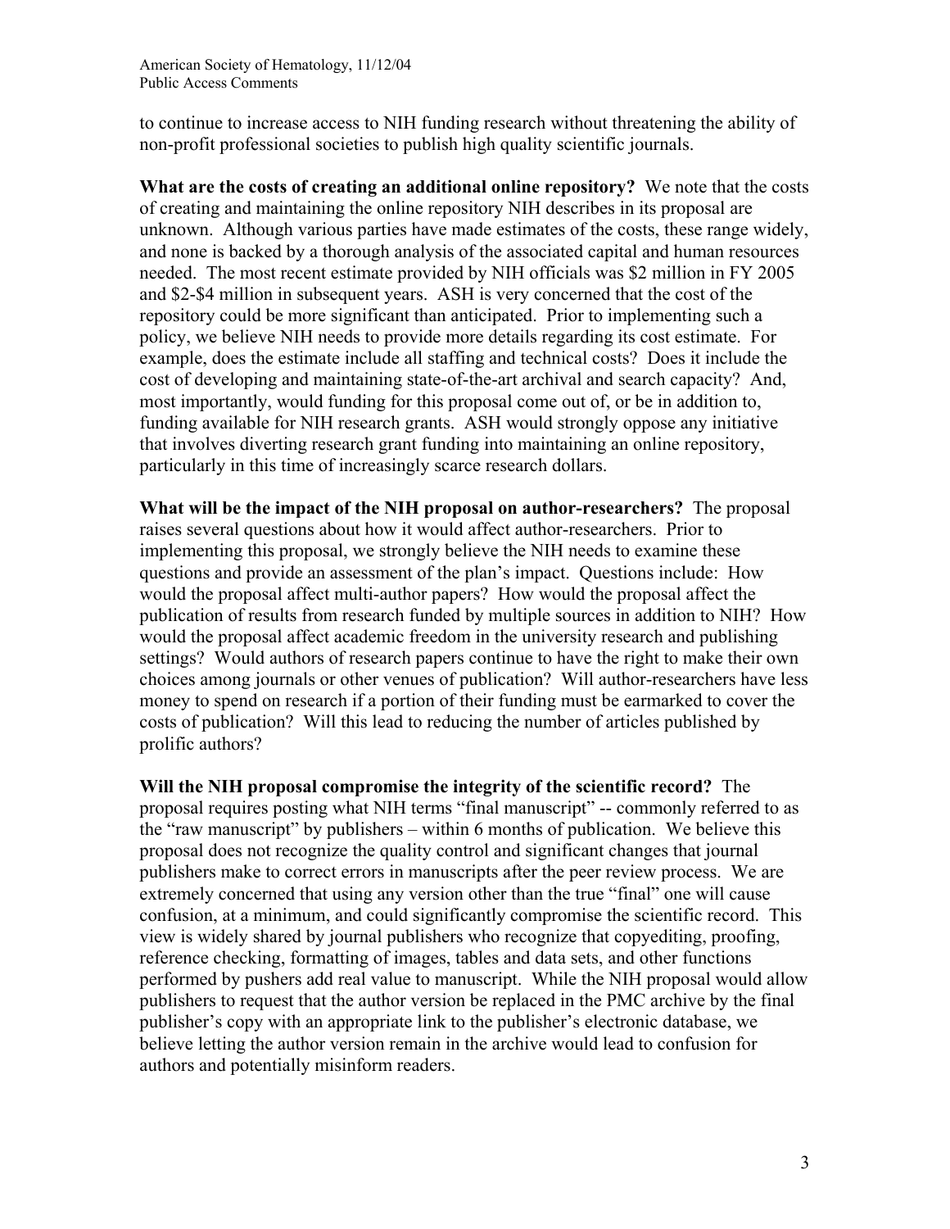to continue to increase access to NIH funding research without threatening the ability of non-profit professional societies to publish high quality scientific journals.

**What are the costs of creating an additional online repository?** We note that the costs of creating and maintaining the online repository NIH describes in its proposal are unknown. Although various parties have made estimates of the costs, these range widely, and none is backed by a thorough analysis of the associated capital and human resources needed. The most recent estimate provided by NIH officials was \$2 million in FY 2005 and \$2-\$4 million in subsequent years. ASH is very concerned that the cost of the repository could be more significant than anticipated. Prior to implementing such a policy, we believe NIH needs to provide more details regarding its cost estimate. For example, does the estimate include all staffing and technical costs? Does it include the cost of developing and maintaining state-of-the-art archival and search capacity? And, most importantly, would funding for this proposal come out of, or be in addition to, funding available for NIH research grants. ASH would strongly oppose any initiative that involves diverting research grant funding into maintaining an online repository, particularly in this time of increasingly scarce research dollars.

**What will be the impact of the NIH proposal on author-researchers?** The proposal raises several questions about how it would affect author-researchers. Prior to implementing this proposal, we strongly believe the NIH needs to examine these questions and provide an assessment of the plan's impact. Questions include: How would the proposal affect multi-author papers? How would the proposal affect the publication of results from research funded by multiple sources in addition to NIH? How would the proposal affect academic freedom in the university research and publishing settings? Would authors of research papers continue to have the right to make their own choices among journals or other venues of publication? Will author-researchers have less money to spend on research if a portion of their funding must be earmarked to cover the costs of publication? Will this lead to reducing the number of articles published by prolific authors?

**Will the NIH proposal compromise the integrity of the scientific record?** The proposal requires posting what NIH terms "final manuscript" -- commonly referred to as the "raw manuscript" by publishers – within 6 months of publication. We believe this proposal does not recognize the quality control and significant changes that journal publishers make to correct errors in manuscripts after the peer review process. We are extremely concerned that using any version other than the true "final" one will cause confusion, at a minimum, and could significantly compromise the scientific record. This view is widely shared by journal publishers who recognize that copyediting, proofing, reference checking, formatting of images, tables and data sets, and other functions performed by pushers add real value to manuscript. While the NIH proposal would allow publishers to request that the author version be replaced in the PMC archive by the final publisher's copy with an appropriate link to the publisher's electronic database, we believe letting the author version remain in the archive would lead to confusion for authors and potentially misinform readers.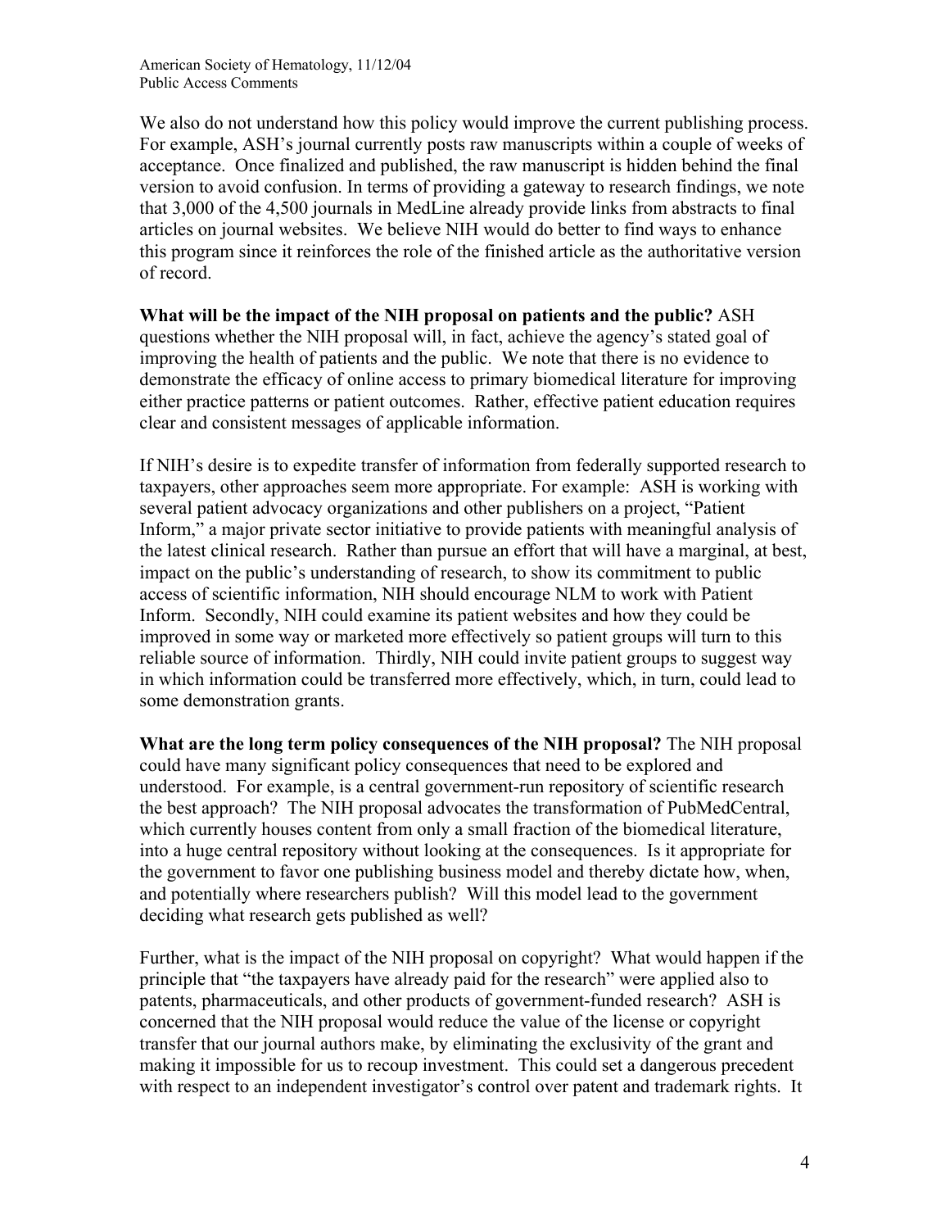American Society of Hematology, 11/12/04 Public Access Comments

We also do not understand how this policy would improve the current publishing process. For example, ASH's journal currently posts raw manuscripts within a couple of weeks of acceptance. Once finalized and published, the raw manuscript is hidden behind the final version to avoid confusion. In terms of providing a gateway to research findings, we note that 3,000 of the 4,500 journals in MedLine already provide links from abstracts to final articles on journal websites. We believe NIH would do better to find ways to enhance this program since it reinforces the role of the finished article as the authoritative version of record.

**What will be the impact of the NIH proposal on patients and the public?** ASH questions whether the NIH proposal will, in fact, achieve the agency's stated goal of improving the health of patients and the public. We note that there is no evidence to demonstrate the efficacy of online access to primary biomedical literature for improving either practice patterns or patient outcomes. Rather, effective patient education requires clear and consistent messages of applicable information.

If NIH's desire is to expedite transfer of information from federally supported research to taxpayers, other approaches seem more appropriate. For example: ASH is working with several patient advocacy organizations and other publishers on a project, "Patient Inform," a major private sector initiative to provide patients with meaningful analysis of the latest clinical research. Rather than pursue an effort that will have a marginal, at best, impact on the public's understanding of research, to show its commitment to public access of scientific information, NIH should encourage NLM to work with Patient Inform. Secondly, NIH could examine its patient websites and how they could be improved in some way or marketed more effectively so patient groups will turn to this reliable source of information. Thirdly, NIH could invite patient groups to suggest way in which information could be transferred more effectively, which, in turn, could lead to some demonstration grants.

**What are the long term policy consequences of the NIH proposal?** The NIH proposal could have many significant policy consequences that need to be explored and understood. For example, is a central government-run repository of scientific research the best approach? The NIH proposal advocates the transformation of PubMedCentral, which currently houses content from only a small fraction of the biomedical literature, into a huge central repository without looking at the consequences. Is it appropriate for the government to favor one publishing business model and thereby dictate how, when, and potentially where researchers publish? Will this model lead to the government deciding what research gets published as well?

Further, what is the impact of the NIH proposal on copyright? What would happen if the principle that "the taxpayers have already paid for the research" were applied also to patents, pharmaceuticals, and other products of government-funded research? ASH is concerned that the NIH proposal would reduce the value of the license or copyright transfer that our journal authors make, by eliminating the exclusivity of the grant and making it impossible for us to recoup investment. This could set a dangerous precedent with respect to an independent investigator's control over patent and trademark rights. It